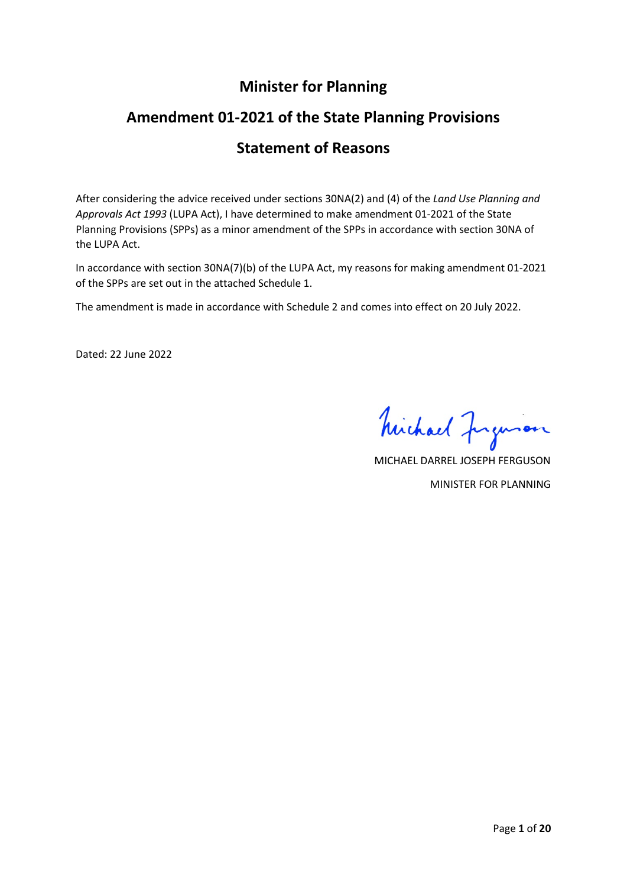## **Minister for Planning**

# **Amendment 01-2021 of the State Planning Provisions**

# **Statement of Reasons**

After considering the advice received under sections 30NA(2) and (4) of the *Land Use Planning and Approvals Act 1993* (LUPA Act), I have determined to make amendment 01-2021 of the State Planning Provisions (SPPs) as a minor amendment of the SPPs in accordance with section 30NA of the LUPA Act.

In accordance with section 30NA(7)(b) of the LUPA Act, my reasons for making amendment 01-2021 of the SPPs are set out in the attached Schedule 1.

The amendment is made in accordance with Schedule 2 and comes into effect on 20 July 2022.

Dated: 22 June 2022

Michael Jugueson

MICHAEL DARREL JOSEPH FERGUSON MINISTER FOR PLANNING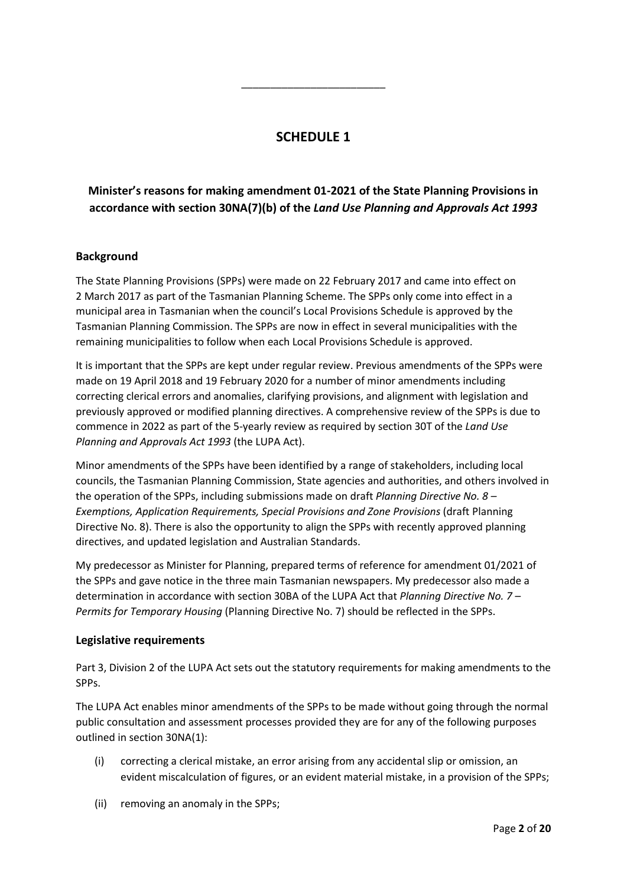## **SCHEDULE 1**

\_\_\_\_\_\_\_\_\_\_\_\_\_\_\_\_\_\_\_\_\_\_\_\_\_

## **Minister's reasons for making amendment 01-2021 of the State Planning Provisions in accordance with section 30NA(7)(b) of the** *Land Use Planning and Approvals Act 1993*

## **Background**

The State Planning Provisions (SPPs) were made on 22 February 2017 and came into effect on 2 March 2017 as part of the Tasmanian Planning Scheme. The SPPs only come into effect in a municipal area in Tasmanian when the council's Local Provisions Schedule is approved by the Tasmanian Planning Commission. The SPPs are now in effect in several municipalities with the remaining municipalities to follow when each Local Provisions Schedule is approved.

It is important that the SPPs are kept under regular review. Previous amendments of the SPPs were made on 19 April 2018 and 19 February 2020 for a number of minor amendments including correcting clerical errors and anomalies, clarifying provisions, and alignment with legislation and previously approved or modified planning directives. A comprehensive review of the SPPs is due to commence in 2022 as part of the 5-yearly review as required by section 30T of the *Land Use Planning and Approvals Act 1993* (the LUPA Act).

Minor amendments of the SPPs have been identified by a range of stakeholders, including local councils, the Tasmanian Planning Commission, State agencies and authorities, and others involved in the operation of the SPPs, including submissions made on draft *Planning Directive No. 8 – Exemptions, Application Requirements, Special Provisions and Zone Provisions* (draft Planning Directive No. 8). There is also the opportunity to align the SPPs with recently approved planning directives, and updated legislation and Australian Standards.

My predecessor as Minister for Planning, prepared terms of reference for amendment 01/2021 of the SPPs and gave notice in the three main Tasmanian newspapers. My predecessor also made a determination in accordance with section 30BA of the LUPA Act that *Planning Directive No. 7 – Permits for Temporary Housing* (Planning Directive No. 7) should be reflected in the SPPs.

#### **Legislative requirements**

Part 3, Division 2 of the LUPA Act sets out the statutory requirements for making amendments to the SPPs.

The LUPA Act enables minor amendments of the SPPs to be made without going through the normal public consultation and assessment processes provided they are for any of the following purposes outlined in section 30NA(1):

- (i) correcting a clerical mistake, an error arising from any accidental slip or omission, an evident miscalculation of figures, or an evident material mistake, in a provision of the SPPs;
- (ii) removing an anomaly in the SPPs;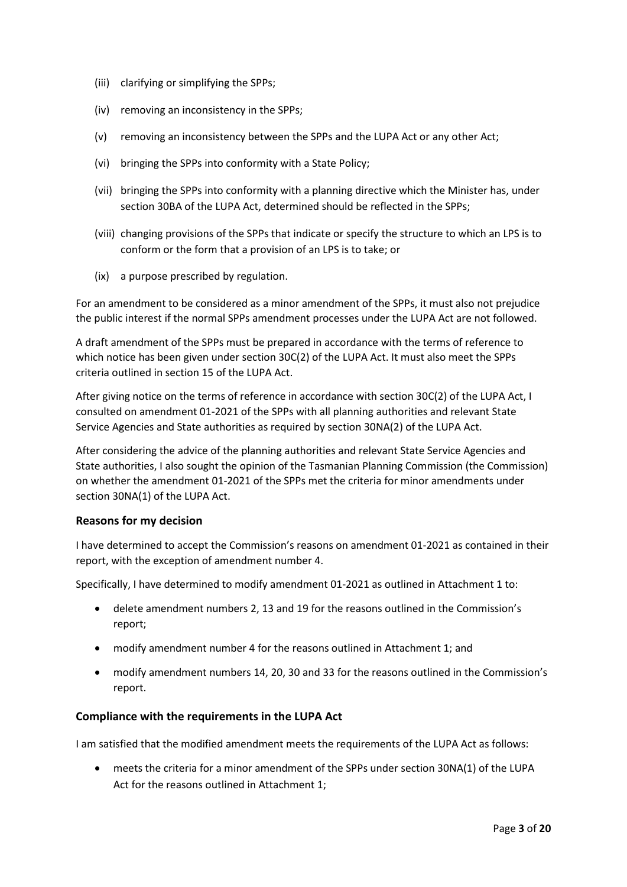- (iii) clarifying or simplifying the SPPs;
- (iv) removing an inconsistency in the SPPs;
- (v) removing an inconsistency between the SPPs and the LUPA Act or any other Act;
- (vi) bringing the SPPs into conformity with a State Policy;
- (vii) bringing the SPPs into conformity with a planning directive which the Minister has, under section 30BA of the LUPA Act, determined should be reflected in the SPPs;
- (viii) changing provisions of the SPPs that indicate or specify the structure to which an LPS is to conform or the form that a provision of an LPS is to take; or
- (ix) a purpose prescribed by regulation.

For an amendment to be considered as a minor amendment of the SPPs, it must also not prejudice the public interest if the normal SPPs amendment processes under the LUPA Act are not followed.

A draft amendment of the SPPs must be prepared in accordance with the terms of reference to which notice has been given under section 30C(2) of the LUPA Act. It must also meet the SPPs criteria outlined in section 15 of the LUPA Act.

After giving notice on the terms of reference in accordance with section 30C(2) of the LUPA Act, I consulted on amendment 01-2021 of the SPPs with all planning authorities and relevant State Service Agencies and State authorities as required by section 30NA(2) of the LUPA Act.

After considering the advice of the planning authorities and relevant State Service Agencies and State authorities, I also sought the opinion of the Tasmanian Planning Commission (the Commission) on whether the amendment 01-2021 of the SPPs met the criteria for minor amendments under section 30NA(1) of the LUPA Act.

## **Reasons for my decision**

I have determined to accept the Commission's reasons on amendment 01-2021 as contained in their report, with the exception of amendment number 4.

Specifically, I have determined to modify amendment 01-2021 as outlined in Attachment 1 to:

- delete amendment numbers 2, 13 and 19 for the reasons outlined in the Commission's report;
- modify amendment number 4 for the reasons outlined in Attachment 1; and
- modify amendment numbers 14, 20, 30 and 33 for the reasons outlined in the Commission's report.

## **Compliance with the requirements in the LUPA Act**

I am satisfied that the modified amendment meets the requirements of the LUPA Act as follows:

• meets the criteria for a minor amendment of the SPPs under section 30NA(1) of the LUPA Act for the reasons outlined in Attachment 1;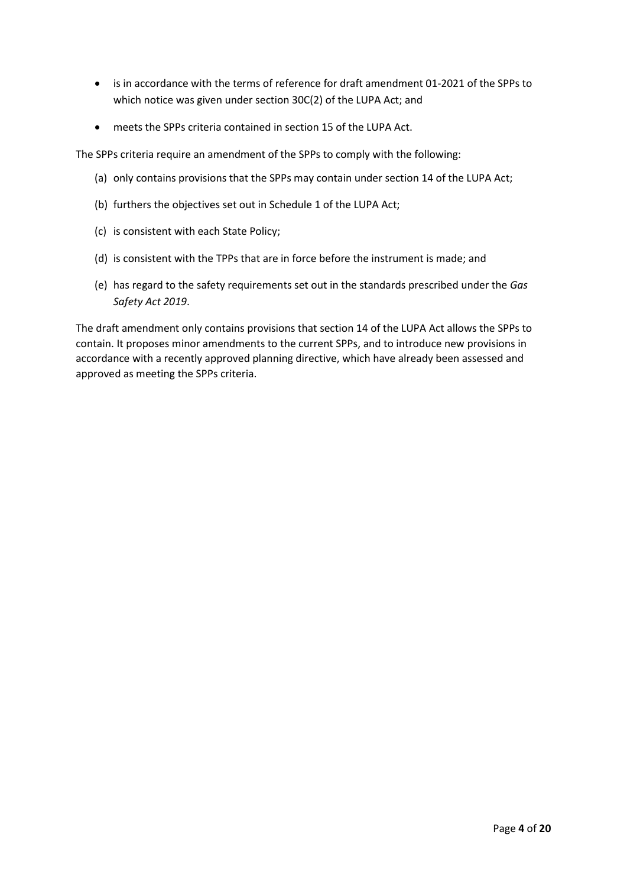- is in accordance with the terms of reference for draft amendment 01-2021 of the SPPs to which notice was given under section 30C(2) of the LUPA Act; and
- meets the SPPs criteria contained in section 15 of the LUPA Act.

The SPPs criteria require an amendment of the SPPs to comply with the following:

- (a) only contains provisions that the SPPs may contain under section 14 of the LUPA Act;
- (b) furthers the objectives set out in Schedule 1 of the LUPA Act;
- (c) is consistent with each State Policy;
- (d) is consistent with the TPPs that are in force before the instrument is made; and
- (e) has regard to the safety requirements set out in the standards prescribed under the *Gas Safety Act 2019*.

The draft amendment only contains provisions that section 14 of the LUPA Act allows the SPPs to contain. It proposes minor amendments to the current SPPs, and to introduce new provisions in accordance with a recently approved planning directive, which have already been assessed and approved as meeting the SPPs criteria.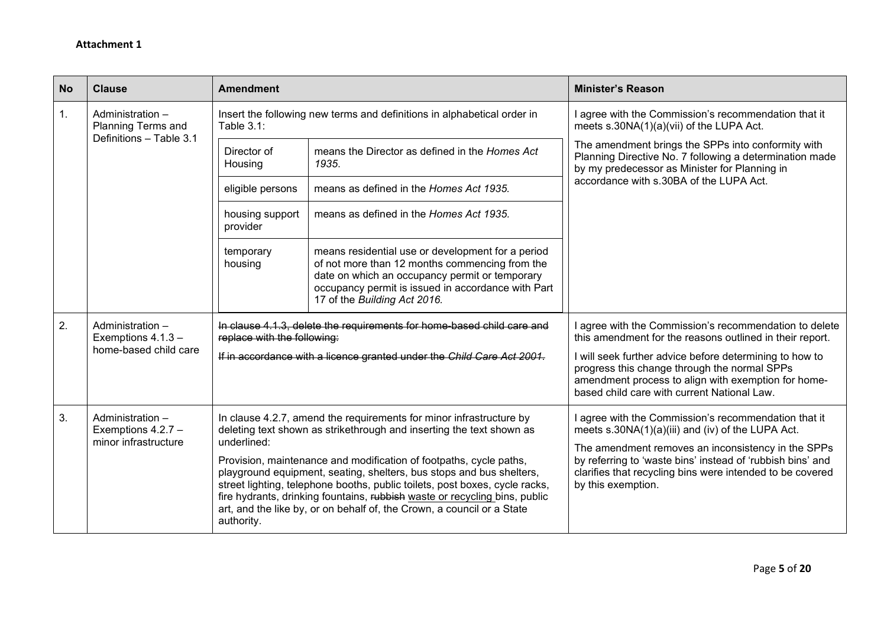| <b>No</b> | <b>Clause</b>                                                   | <b>Amendment</b>            |                                                                                                                                                                                                                                                                                                                                                                                                                                                                                                                                  | <b>Minister's Reason</b>                                                                                                                                                                                                                                                                                                            |
|-----------|-----------------------------------------------------------------|-----------------------------|----------------------------------------------------------------------------------------------------------------------------------------------------------------------------------------------------------------------------------------------------------------------------------------------------------------------------------------------------------------------------------------------------------------------------------------------------------------------------------------------------------------------------------|-------------------------------------------------------------------------------------------------------------------------------------------------------------------------------------------------------------------------------------------------------------------------------------------------------------------------------------|
| 1.        | Administration -<br>Planning Terms and                          | Table $3.1$ :               | Insert the following new terms and definitions in alphabetical order in                                                                                                                                                                                                                                                                                                                                                                                                                                                          | I agree with the Commission's recommendation that it<br>meets s.30NA(1)(a)(vii) of the LUPA Act.                                                                                                                                                                                                                                    |
|           | Definitions - Table 3.1                                         | Director of<br>Housing      | means the Director as defined in the Homes Act<br>1935.                                                                                                                                                                                                                                                                                                                                                                                                                                                                          | The amendment brings the SPPs into conformity with<br>Planning Directive No. 7 following a determination made<br>by my predecessor as Minister for Planning in                                                                                                                                                                      |
|           |                                                                 | eligible persons            | means as defined in the Homes Act 1935.                                                                                                                                                                                                                                                                                                                                                                                                                                                                                          | accordance with s.30BA of the LUPA Act.                                                                                                                                                                                                                                                                                             |
|           |                                                                 | housing support<br>provider | means as defined in the Homes Act 1935.                                                                                                                                                                                                                                                                                                                                                                                                                                                                                          |                                                                                                                                                                                                                                                                                                                                     |
|           |                                                                 | temporary<br>housing        | means residential use or development for a period<br>of not more than 12 months commencing from the<br>date on which an occupancy permit or temporary<br>occupancy permit is issued in accordance with Part<br>17 of the Building Act 2016.                                                                                                                                                                                                                                                                                      |                                                                                                                                                                                                                                                                                                                                     |
| 2.        | Administration -<br>Exemptions 4.1.3 -<br>home-based child care | replace with the following: | In clause 4.1.3, delete the requirements for home-based child care and<br>If in accordance with a licence granted under the Child Care Act 2001.                                                                                                                                                                                                                                                                                                                                                                                 | I agree with the Commission's recommendation to delete<br>this amendment for the reasons outlined in their report.<br>I will seek further advice before determining to how to<br>progress this change through the normal SPPs<br>amendment process to align with exemption for home-<br>based child care with current National Law. |
| 3.        | Administration -<br>Exemptions 4.2.7 -<br>minor infrastructure  | underlined:<br>authority.   | In clause 4.2.7, amend the requirements for minor infrastructure by<br>deleting text shown as strikethrough and inserting the text shown as<br>Provision, maintenance and modification of footpaths, cycle paths,<br>playground equipment, seating, shelters, bus stops and bus shelters,<br>street lighting, telephone booths, public toilets, post boxes, cycle racks,<br>fire hydrants, drinking fountains, rubbish waste or recycling bins, public<br>art, and the like by, or on behalf of, the Crown, a council or a State | I agree with the Commission's recommendation that it<br>meets s.30NA(1)(a)(iii) and (iv) of the LUPA Act.<br>The amendment removes an inconsistency in the SPPs<br>by referring to 'waste bins' instead of 'rubbish bins' and<br>clarifies that recycling bins were intended to be covered<br>by this exemption.                    |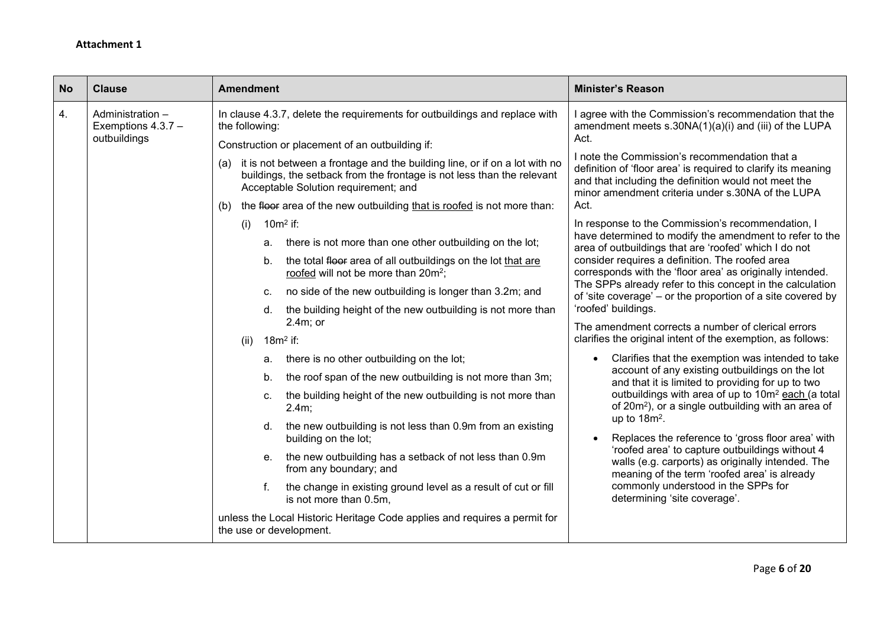| <b>No</b><br><b>Clause</b>                                     | <b>Amendment</b>                                                                                                                                                                                                                                                                                                                                                                                                                                                                                                                                                                                                                                                                                                                                                                                                                                                                                                                                                                                                                                                                                                                                                                                                                                                                                                                                                                                                                  | <b>Minister's Reason</b>                                                                                                                                                                                                                                                                                                                                                                                                                                                                                                                                                                                                                                                                                                                                                                                                                                                                                                                                                                                                                                                                                                                                                                                                                                                                                                                                                                                                                                                                                                                 |
|----------------------------------------------------------------|-----------------------------------------------------------------------------------------------------------------------------------------------------------------------------------------------------------------------------------------------------------------------------------------------------------------------------------------------------------------------------------------------------------------------------------------------------------------------------------------------------------------------------------------------------------------------------------------------------------------------------------------------------------------------------------------------------------------------------------------------------------------------------------------------------------------------------------------------------------------------------------------------------------------------------------------------------------------------------------------------------------------------------------------------------------------------------------------------------------------------------------------------------------------------------------------------------------------------------------------------------------------------------------------------------------------------------------------------------------------------------------------------------------------------------------|------------------------------------------------------------------------------------------------------------------------------------------------------------------------------------------------------------------------------------------------------------------------------------------------------------------------------------------------------------------------------------------------------------------------------------------------------------------------------------------------------------------------------------------------------------------------------------------------------------------------------------------------------------------------------------------------------------------------------------------------------------------------------------------------------------------------------------------------------------------------------------------------------------------------------------------------------------------------------------------------------------------------------------------------------------------------------------------------------------------------------------------------------------------------------------------------------------------------------------------------------------------------------------------------------------------------------------------------------------------------------------------------------------------------------------------------------------------------------------------------------------------------------------------|
| 4.<br>Administration -<br>Exemptions $4.3.7 -$<br>outbuildings | In clause 4.3.7, delete the requirements for outbuildings and replace with<br>the following:<br>Construction or placement of an outbuilding if:<br>it is not between a frontage and the building line, or if on a lot with no<br>(a)<br>buildings, the setback from the frontage is not less than the relevant<br>Acceptable Solution requirement; and<br>the floor area of the new outbuilding that is roofed is not more than:<br>(b)<br>$10m2$ if:<br>(i)<br>a. there is not more than one other outbuilding on the lot;<br>the total floor area of all outbuildings on the lot that are<br>b.<br>roofed will not be more than 20m <sup>2</sup> ;<br>no side of the new outbuilding is longer than 3.2m; and<br>C.<br>the building height of the new outbuilding is not more than<br>d.<br>$2.4m$ ; or<br>$18m2$ if:<br>(ii)<br>there is no other outbuilding on the lot;<br>a.<br>the roof span of the new outbuilding is not more than 3m;<br>b.<br>the building height of the new outbuilding is not more than<br>C.<br>2.4m;<br>d. the new outbuilding is not less than 0.9m from an existing<br>building on the lot;<br>the new outbuilding has a setback of not less than 0.9m<br>е.<br>from any boundary; and<br>the change in existing ground level as a result of cut or fill<br>f.<br>is not more than 0.5m,<br>unless the Local Historic Heritage Code applies and requires a permit for<br>the use or development. | I agree with the Commission's recommendation that the<br>amendment meets $s.30NA(1)(a)(i)$ and (iii) of the LUPA<br>Act.<br>I note the Commission's recommendation that a<br>definition of 'floor area' is required to clarify its meaning<br>and that including the definition would not meet the<br>minor amendment criteria under s.30NA of the LUPA<br>Act.<br>In response to the Commission's recommendation, I<br>have determined to modify the amendment to refer to the<br>area of outbuildings that are 'roofed' which I do not<br>consider requires a definition. The roofed area<br>corresponds with the 'floor area' as originally intended.<br>The SPPs already refer to this concept in the calculation<br>of 'site coverage' – or the proportion of a site covered by<br>'roofed' buildings.<br>The amendment corrects a number of clerical errors<br>clarifies the original intent of the exemption, as follows:<br>Clarifies that the exemption was intended to take<br>account of any existing outbuildings on the lot<br>and that it is limited to providing for up to two<br>outbuildings with area of up to 10m <sup>2</sup> each (a total<br>of 20m <sup>2</sup> ), or a single outbuilding with an area of<br>up to $18m^2$ .<br>Replaces the reference to 'gross floor area' with<br>'roofed area' to capture outbuildings without 4<br>walls (e.g. carports) as originally intended. The<br>meaning of the term 'roofed area' is already<br>commonly understood in the SPPs for<br>determining 'site coverage'. |
|                                                                |                                                                                                                                                                                                                                                                                                                                                                                                                                                                                                                                                                                                                                                                                                                                                                                                                                                                                                                                                                                                                                                                                                                                                                                                                                                                                                                                                                                                                                   |                                                                                                                                                                                                                                                                                                                                                                                                                                                                                                                                                                                                                                                                                                                                                                                                                                                                                                                                                                                                                                                                                                                                                                                                                                                                                                                                                                                                                                                                                                                                          |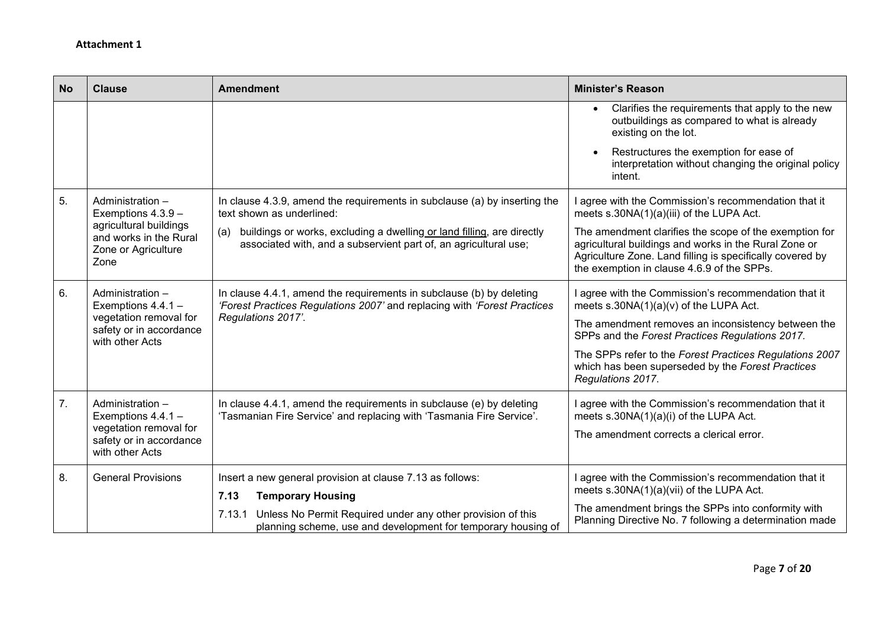| <b>No</b> | <b>Clause</b>                                                                   | <b>Amendment</b>                                                                                                                                  | <b>Minister's Reason</b>                                                                                                                                                                                                   |
|-----------|---------------------------------------------------------------------------------|---------------------------------------------------------------------------------------------------------------------------------------------------|----------------------------------------------------------------------------------------------------------------------------------------------------------------------------------------------------------------------------|
|           |                                                                                 |                                                                                                                                                   | Clarifies the requirements that apply to the new<br>outbuildings as compared to what is already<br>existing on the lot.                                                                                                    |
|           |                                                                                 |                                                                                                                                                   | Restructures the exemption for ease of<br>interpretation without changing the original policy<br>intent.                                                                                                                   |
| 5.        | Administration -<br>Exemptions $4.3.9 -$                                        | In clause 4.3.9, amend the requirements in subclause (a) by inserting the<br>text shown as underlined:                                            | I agree with the Commission's recommendation that it<br>meets s.30NA(1)(a)(iii) of the LUPA Act.                                                                                                                           |
|           | agricultural buildings<br>and works in the Rural<br>Zone or Agriculture<br>Zone | buildings or works, excluding a dwelling or land filling, are directly<br>(a)<br>associated with, and a subservient part of, an agricultural use; | The amendment clarifies the scope of the exemption for<br>agricultural buildings and works in the Rural Zone or<br>Agriculture Zone. Land filling is specifically covered by<br>the exemption in clause 4.6.9 of the SPPs. |
| 6.        | Administration -<br>Exemptions 4.4.1 -                                          | In clause 4.4.1, amend the requirements in subclause (b) by deleting<br>'Forest Practices Regulations 2007' and replacing with 'Forest Practices  | I agree with the Commission's recommendation that it<br>meets $s.30NA(1)(a)(v)$ of the LUPA Act.                                                                                                                           |
|           | vegetation removal for<br>safety or in accordance<br>with other Acts            | Regulations 2017'.                                                                                                                                | The amendment removes an inconsistency between the<br>SPPs and the Forest Practices Regulations 2017.                                                                                                                      |
|           |                                                                                 |                                                                                                                                                   | The SPPs refer to the Forest Practices Regulations 2007<br>which has been superseded by the Forest Practices<br>Regulations 2017.                                                                                          |
| 7.        | Administration -<br>Exemptions 4.4.1 -                                          | In clause 4.4.1, amend the requirements in subclause (e) by deleting<br>'Tasmanian Fire Service' and replacing with 'Tasmania Fire Service'.      | I agree with the Commission's recommendation that it<br>meets s.30NA(1)(a)(i) of the LUPA Act.                                                                                                                             |
|           | vegetation removal for<br>safety or in accordance<br>with other Acts            |                                                                                                                                                   | The amendment corrects a clerical error.                                                                                                                                                                                   |
| 8.        | <b>General Provisions</b>                                                       | Insert a new general provision at clause 7.13 as follows:<br>7.13<br><b>Temporary Housing</b>                                                     | I agree with the Commission's recommendation that it<br>meets s.30NA(1)(a)(vii) of the LUPA Act.                                                                                                                           |
|           |                                                                                 | 7.13.1 Unless No Permit Required under any other provision of this<br>planning scheme, use and development for temporary housing of               | The amendment brings the SPPs into conformity with<br>Planning Directive No. 7 following a determination made                                                                                                              |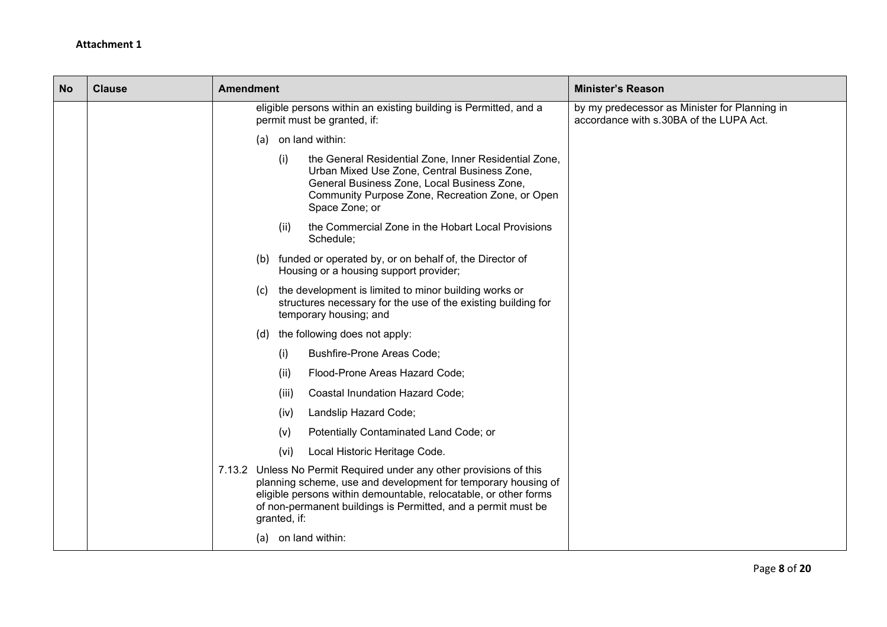| <b>No</b> | <b>Clause</b> | <b>Amendment</b>                                                                                                                                                                                                                                                                          | <b>Minister's Reason</b>                                                                 |
|-----------|---------------|-------------------------------------------------------------------------------------------------------------------------------------------------------------------------------------------------------------------------------------------------------------------------------------------|------------------------------------------------------------------------------------------|
|           |               | eligible persons within an existing building is Permitted, and a<br>permit must be granted, if:                                                                                                                                                                                           | by my predecessor as Minister for Planning in<br>accordance with s.30BA of the LUPA Act. |
|           |               | on land within:<br>(a)                                                                                                                                                                                                                                                                    |                                                                                          |
|           |               | (i)<br>the General Residential Zone, Inner Residential Zone,<br>Urban Mixed Use Zone, Central Business Zone,<br>General Business Zone, Local Business Zone,<br>Community Purpose Zone, Recreation Zone, or Open<br>Space Zone; or                                                         |                                                                                          |
|           |               | the Commercial Zone in the Hobart Local Provisions<br>(ii)<br>Schedule;                                                                                                                                                                                                                   |                                                                                          |
|           |               | (b) funded or operated by, or on behalf of, the Director of<br>Housing or a housing support provider;                                                                                                                                                                                     |                                                                                          |
|           |               | (c) the development is limited to minor building works or<br>structures necessary for the use of the existing building for<br>temporary housing; and                                                                                                                                      |                                                                                          |
|           |               | the following does not apply:<br>(d)                                                                                                                                                                                                                                                      |                                                                                          |
|           |               | (i)<br><b>Bushfire-Prone Areas Code;</b>                                                                                                                                                                                                                                                  |                                                                                          |
|           |               | Flood-Prone Areas Hazard Code;<br>(ii)                                                                                                                                                                                                                                                    |                                                                                          |
|           |               | Coastal Inundation Hazard Code;<br>(iii)                                                                                                                                                                                                                                                  |                                                                                          |
|           |               | Landslip Hazard Code;<br>(iv)                                                                                                                                                                                                                                                             |                                                                                          |
|           |               | Potentially Contaminated Land Code; or<br>(v)                                                                                                                                                                                                                                             |                                                                                          |
|           |               | Local Historic Heritage Code.<br>(vi)                                                                                                                                                                                                                                                     |                                                                                          |
|           |               | 7.13.2 Unless No Permit Required under any other provisions of this<br>planning scheme, use and development for temporary housing of<br>eligible persons within demountable, relocatable, or other forms<br>of non-permanent buildings is Permitted, and a permit must be<br>granted, if: |                                                                                          |
|           |               | (a) on land within:                                                                                                                                                                                                                                                                       |                                                                                          |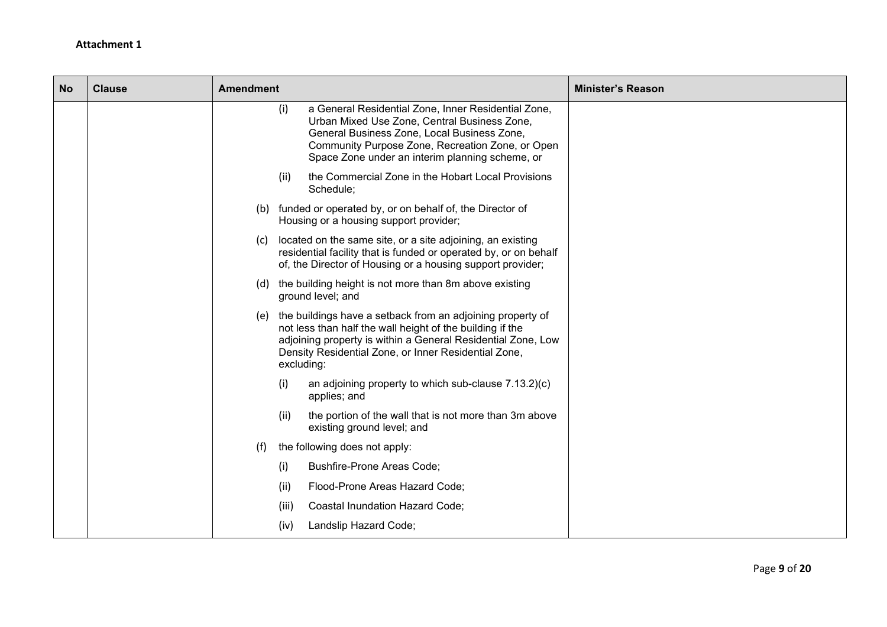| <b>No</b> | <b>Clause</b> | <b>Amendment</b><br><b>Minister's Reason</b>                                                                                                                                                                                                                      |
|-----------|---------------|-------------------------------------------------------------------------------------------------------------------------------------------------------------------------------------------------------------------------------------------------------------------|
|           |               | a General Residential Zone, Inner Residential Zone,<br>(i)<br>Urban Mixed Use Zone, Central Business Zone,<br>General Business Zone, Local Business Zone,<br>Community Purpose Zone, Recreation Zone, or Open<br>Space Zone under an interim planning scheme, or  |
|           |               | the Commercial Zone in the Hobart Local Provisions<br>(ii)<br>Schedule;                                                                                                                                                                                           |
|           |               | (b) funded or operated by, or on behalf of, the Director of<br>Housing or a housing support provider;                                                                                                                                                             |
|           |               | located on the same site, or a site adjoining, an existing<br>(c)<br>residential facility that is funded or operated by, or on behalf<br>of, the Director of Housing or a housing support provider;                                                               |
|           |               | (d) the building height is not more than 8m above existing<br>ground level; and                                                                                                                                                                                   |
|           |               | (e) the buildings have a setback from an adjoining property of<br>not less than half the wall height of the building if the<br>adjoining property is within a General Residential Zone, Low<br>Density Residential Zone, or Inner Residential Zone,<br>excluding: |
|           |               | an adjoining property to which sub-clause 7.13.2)(c)<br>(i)<br>applies; and                                                                                                                                                                                       |
|           |               | the portion of the wall that is not more than 3m above<br>(ii)<br>existing ground level; and                                                                                                                                                                      |
|           |               | (f)<br>the following does not apply:                                                                                                                                                                                                                              |
|           |               | <b>Bushfire-Prone Areas Code;</b><br>(i)                                                                                                                                                                                                                          |
|           |               | Flood-Prone Areas Hazard Code;<br>(ii)                                                                                                                                                                                                                            |
|           |               | Coastal Inundation Hazard Code;<br>(iii)                                                                                                                                                                                                                          |
|           |               | Landslip Hazard Code;<br>(iv)                                                                                                                                                                                                                                     |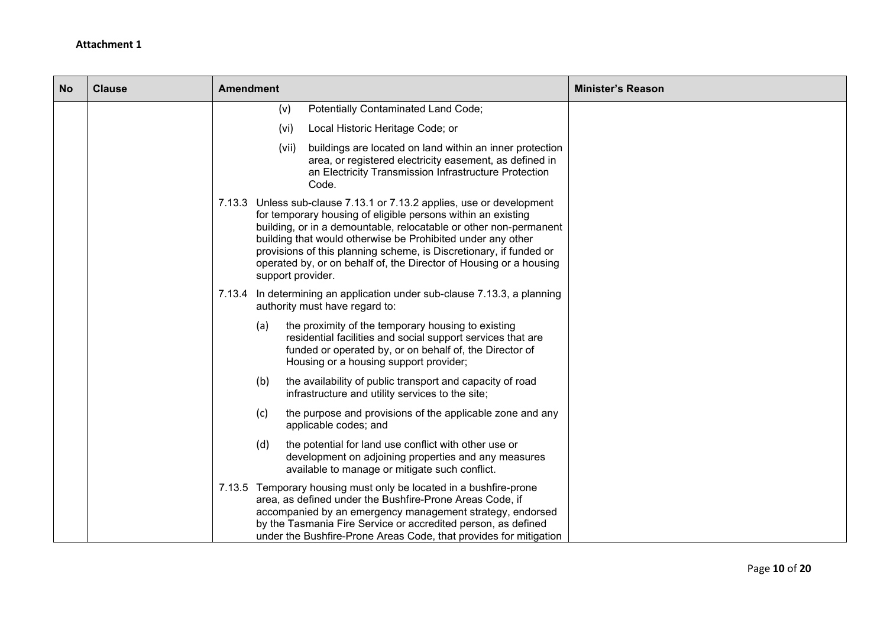| <b>No</b> | <b>Clause</b> | <b>Amendment</b>                                                                                                                                                                                                                                                                                                                                                                                                                           | <b>Minister's Reason</b> |
|-----------|---------------|--------------------------------------------------------------------------------------------------------------------------------------------------------------------------------------------------------------------------------------------------------------------------------------------------------------------------------------------------------------------------------------------------------------------------------------------|--------------------------|
|           |               | Potentially Contaminated Land Code;<br>(v)                                                                                                                                                                                                                                                                                                                                                                                                 |                          |
|           |               | Local Historic Heritage Code; or<br>(vi)                                                                                                                                                                                                                                                                                                                                                                                                   |                          |
|           |               | buildings are located on land within an inner protection<br>(vii)<br>area, or registered electricity easement, as defined in<br>an Electricity Transmission Infrastructure Protection<br>Code.                                                                                                                                                                                                                                             |                          |
|           |               | 7.13.3 Unless sub-clause 7.13.1 or 7.13.2 applies, use or development<br>for temporary housing of eligible persons within an existing<br>building, or in a demountable, relocatable or other non-permanent<br>building that would otherwise be Prohibited under any other<br>provisions of this planning scheme, is Discretionary, if funded or<br>operated by, or on behalf of, the Director of Housing or a housing<br>support provider. |                          |
|           |               | 7.13.4 In determining an application under sub-clause 7.13.3, a planning<br>authority must have regard to:                                                                                                                                                                                                                                                                                                                                 |                          |
|           |               | (a)<br>the proximity of the temporary housing to existing<br>residential facilities and social support services that are<br>funded or operated by, or on behalf of, the Director of<br>Housing or a housing support provider;                                                                                                                                                                                                              |                          |
|           |               | (b)<br>the availability of public transport and capacity of road<br>infrastructure and utility services to the site;                                                                                                                                                                                                                                                                                                                       |                          |
|           |               | (c)<br>the purpose and provisions of the applicable zone and any<br>applicable codes; and                                                                                                                                                                                                                                                                                                                                                  |                          |
|           |               | the potential for land use conflict with other use or<br>(d)<br>development on adjoining properties and any measures<br>available to manage or mitigate such conflict.                                                                                                                                                                                                                                                                     |                          |
|           |               | 7.13.5 Temporary housing must only be located in a bushfire-prone<br>area, as defined under the Bushfire-Prone Areas Code, if<br>accompanied by an emergency management strategy, endorsed<br>by the Tasmania Fire Service or accredited person, as defined<br>under the Bushfire-Prone Areas Code, that provides for mitigation                                                                                                           |                          |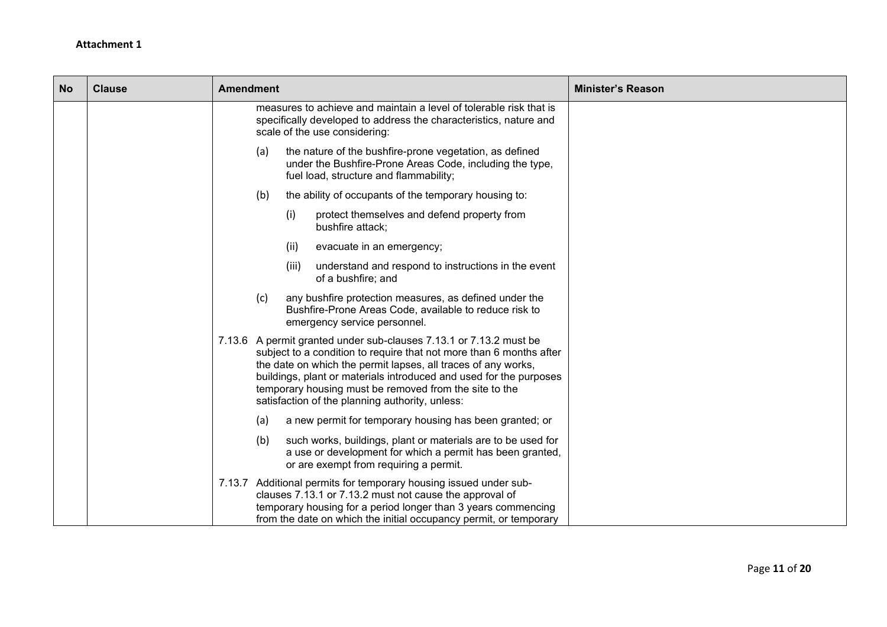| <b>No</b> | <b>Clause</b> | <b>Amendment</b><br><b>Minister's Reason</b>                                                                                                                                                                                                                                                                                                                                                  |  |
|-----------|---------------|-----------------------------------------------------------------------------------------------------------------------------------------------------------------------------------------------------------------------------------------------------------------------------------------------------------------------------------------------------------------------------------------------|--|
|           |               | measures to achieve and maintain a level of tolerable risk that is<br>specifically developed to address the characteristics, nature and<br>scale of the use considering:                                                                                                                                                                                                                      |  |
|           |               | (a)<br>the nature of the bushfire-prone vegetation, as defined<br>under the Bushfire-Prone Areas Code, including the type,<br>fuel load, structure and flammability;                                                                                                                                                                                                                          |  |
|           |               | the ability of occupants of the temporary housing to:<br>(b)                                                                                                                                                                                                                                                                                                                                  |  |
|           |               | (i)<br>protect themselves and defend property from<br>bushfire attack;                                                                                                                                                                                                                                                                                                                        |  |
|           |               | (ii)<br>evacuate in an emergency;                                                                                                                                                                                                                                                                                                                                                             |  |
|           |               | (iii)<br>understand and respond to instructions in the event<br>of a bushfire; and                                                                                                                                                                                                                                                                                                            |  |
|           |               | (c)<br>any bushfire protection measures, as defined under the<br>Bushfire-Prone Areas Code, available to reduce risk to<br>emergency service personnel.                                                                                                                                                                                                                                       |  |
|           |               | 7.13.6 A permit granted under sub-clauses 7.13.1 or 7.13.2 must be<br>subject to a condition to require that not more than 6 months after<br>the date on which the permit lapses, all traces of any works,<br>buildings, plant or materials introduced and used for the purposes<br>temporary housing must be removed from the site to the<br>satisfaction of the planning authority, unless: |  |
|           |               | a new permit for temporary housing has been granted; or<br>(a)                                                                                                                                                                                                                                                                                                                                |  |
|           |               | such works, buildings, plant or materials are to be used for<br>(b)<br>a use or development for which a permit has been granted,<br>or are exempt from requiring a permit.                                                                                                                                                                                                                    |  |
|           |               | 7.13.7 Additional permits for temporary housing issued under sub-<br>clauses 7.13.1 or 7.13.2 must not cause the approval of<br>temporary housing for a period longer than 3 years commencing<br>from the date on which the initial occupancy permit, or temporary                                                                                                                            |  |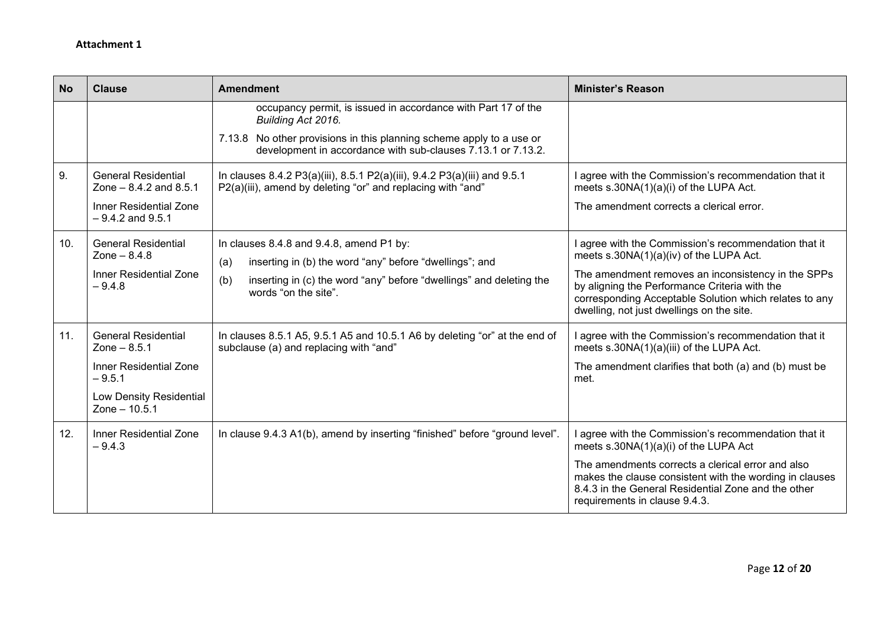| <b>No</b> | <b>Clause</b>                                                                                                                           | <b>Amendment</b>                                                                                                                                                                                                            | <b>Minister's Reason</b>                                                                                                                                                                                                                                                                                      |
|-----------|-----------------------------------------------------------------------------------------------------------------------------------------|-----------------------------------------------------------------------------------------------------------------------------------------------------------------------------------------------------------------------------|---------------------------------------------------------------------------------------------------------------------------------------------------------------------------------------------------------------------------------------------------------------------------------------------------------------|
|           |                                                                                                                                         | occupancy permit, is issued in accordance with Part 17 of the<br>Building Act 2016.<br>7.13.8 No other provisions in this planning scheme apply to a use or<br>development in accordance with sub-clauses 7.13.1 or 7.13.2. |                                                                                                                                                                                                                                                                                                               |
| 9.        | <b>General Residential</b><br>Zone $-8.4.2$ and $8.5.1$<br><b>Inner Residential Zone</b><br>$-9.4.2$ and $9.5.1$                        | In clauses 8.4.2 P3(a)(iii), 8.5.1 P2(a)(iii), 9.4.2 P3(a)(iii) and 9.5.1<br>P2(a)(iii), amend by deleting "or" and replacing with "and"                                                                                    | I agree with the Commission's recommendation that it<br>meets s.30NA(1)(a)(i) of the LUPA Act.<br>The amendment corrects a clerical error.                                                                                                                                                                    |
| 10.       | <b>General Residential</b><br>Zone $- 8.4.8$<br><b>Inner Residential Zone</b><br>$-9.4.8$                                               | In clauses 8.4.8 and 9.4.8, amend P1 by:<br>inserting in (b) the word "any" before "dwellings"; and<br>(a)<br>inserting in (c) the word "any" before "dwellings" and deleting the<br>(b)<br>words "on the site".            | I agree with the Commission's recommendation that it<br>meets s.30NA(1)(a)(iv) of the LUPA Act.<br>The amendment removes an inconsistency in the SPPs<br>by aligning the Performance Criteria with the<br>corresponding Acceptable Solution which relates to any<br>dwelling, not just dwellings on the site. |
| 11.       | <b>General Residential</b><br>Zone $- 8.5.1$<br><b>Inner Residential Zone</b><br>$-9.5.1$<br>Low Density Residential<br>Zone $- 10.5.1$ | In clauses 8.5.1 A5, 9.5.1 A5 and 10.5.1 A6 by deleting "or" at the end of<br>subclause (a) and replacing with "and"                                                                                                        | I agree with the Commission's recommendation that it<br>meets s.30NA(1)(a)(iii) of the LUPA Act.<br>The amendment clarifies that both (a) and (b) must be<br>met.                                                                                                                                             |
| 12.       | Inner Residential Zone<br>$-9.4.3$                                                                                                      | In clause 9.4.3 A1(b), amend by inserting "finished" before "ground level".                                                                                                                                                 | I agree with the Commission's recommendation that it<br>meets s.30NA(1)(a)(i) of the LUPA Act<br>The amendments corrects a clerical error and also<br>makes the clause consistent with the wording in clauses<br>8.4.3 in the General Residential Zone and the other<br>requirements in clause 9.4.3.         |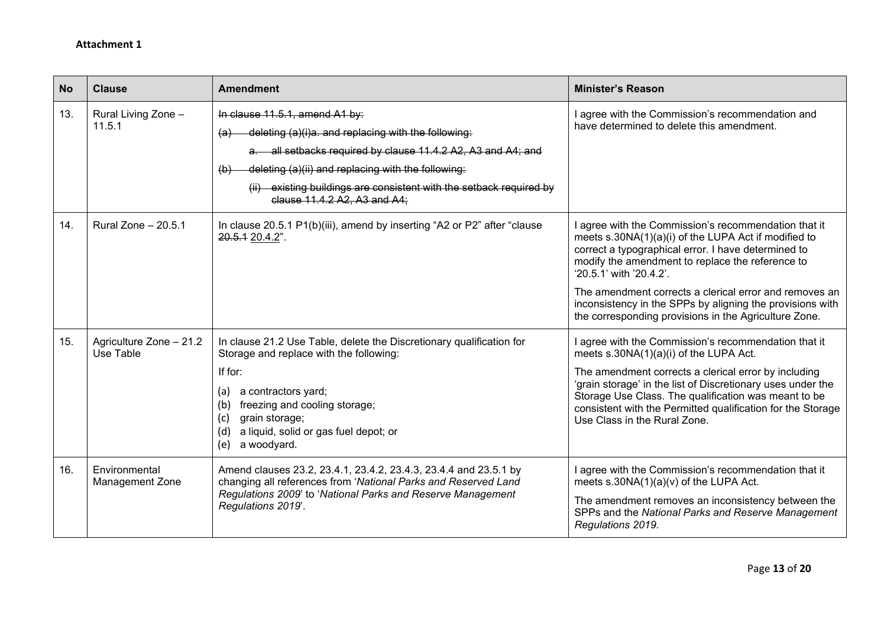| <b>No</b> | <b>Clause</b>                           | <b>Amendment</b>                                                                                                                                                                                                                                                                                                                                                     | <b>Minister's Reason</b>                                                                                                                                                                                                                                                                                                                                                                                                         |
|-----------|-----------------------------------------|----------------------------------------------------------------------------------------------------------------------------------------------------------------------------------------------------------------------------------------------------------------------------------------------------------------------------------------------------------------------|----------------------------------------------------------------------------------------------------------------------------------------------------------------------------------------------------------------------------------------------------------------------------------------------------------------------------------------------------------------------------------------------------------------------------------|
| 13.       | Rural Living Zone -<br>11.5.1           | In clause 11.5.1, amend A1 by:<br>deleting (a)(i)a. and replacing with the following:<br>$\left( a\right)$<br>a. all setbacks required by clause 11.4.2 A2, A3 and A4; and<br>deleting (a)(ii) and replacing with the following:<br>$\left(\mathbf{b}\right)$<br>(ii) existing buildings are consistent with the setback required by<br>clause 11.4.2 A2. A3 and A4: | agree with the Commission's recommendation and<br>have determined to delete this amendment.                                                                                                                                                                                                                                                                                                                                      |
| 14.       | Rural Zone $-20.5.1$                    | In clause 20.5.1 P1(b)(iii), amend by inserting "A2 or P2" after "clause<br>20.5.1 20.4.2".                                                                                                                                                                                                                                                                          | agree with the Commission's recommendation that it<br>meets s.30NA(1)(a)(i) of the LUPA Act if modified to<br>correct a typographical error. I have determined to<br>modify the amendment to replace the reference to<br>'20.5.1' with '20.4.2'.<br>The amendment corrects a clerical error and removes an<br>inconsistency in the SPPs by aligning the provisions with<br>the corresponding provisions in the Agriculture Zone. |
| 15.       | Agriculture Zone - 21.2<br>Use Table    | In clause 21.2 Use Table, delete the Discretionary qualification for<br>Storage and replace with the following:<br>If for:<br>a contractors yard;<br>(a)<br>(b)<br>freezing and cooling storage;<br>grain storage;<br>(c)<br>a liquid, solid or gas fuel depot; or<br>(d)<br>a woodyard.<br>(e)                                                                      | I agree with the Commission's recommendation that it<br>meets s.30NA(1)(a)(i) of the LUPA Act.<br>The amendment corrects a clerical error by including<br>'grain storage' in the list of Discretionary uses under the<br>Storage Use Class. The qualification was meant to be<br>consistent with the Permitted qualification for the Storage<br>Use Class in the Rural Zone.                                                     |
| 16.       | Environmental<br><b>Management Zone</b> | Amend clauses 23.2, 23.4.1, 23.4.2, 23.4.3, 23.4.4 and 23.5.1 by<br>changing all references from 'National Parks and Reserved Land<br>Regulations 2009' to 'National Parks and Reserve Management<br>Regulations 2019'.                                                                                                                                              | I agree with the Commission's recommendation that it<br>meets $s.30NA(1)(a)(v)$ of the LUPA Act.<br>The amendment removes an inconsistency between the<br>SPPs and the National Parks and Reserve Management<br>Regulations 2019.                                                                                                                                                                                                |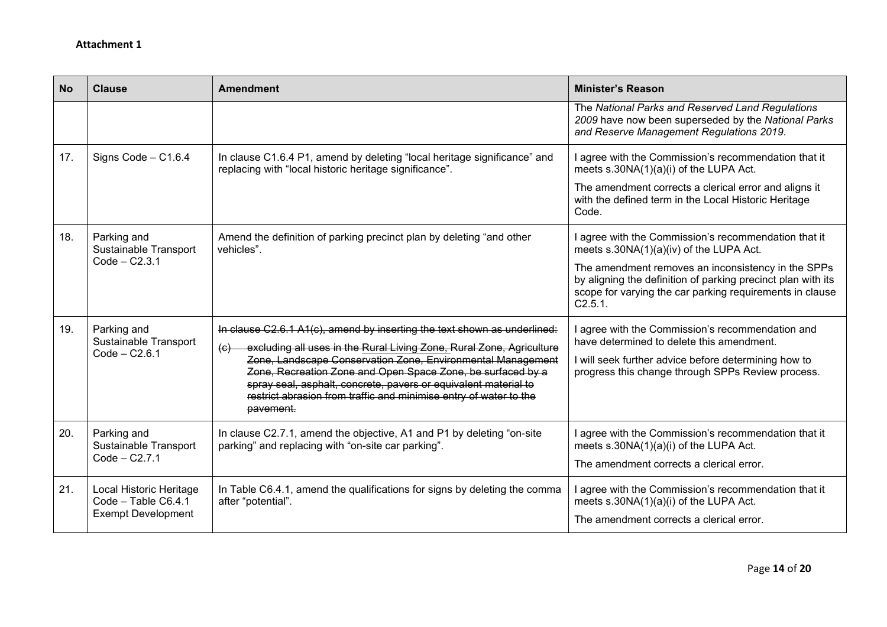| <b>No</b> | <b>Clause</b>                                                               | <b>Amendment</b>                                                                                                                                                                                                                                                                                                                                                                                                                                                 | <b>Minister's Reason</b>                                                                                                                                                                                                                                                                     |
|-----------|-----------------------------------------------------------------------------|------------------------------------------------------------------------------------------------------------------------------------------------------------------------------------------------------------------------------------------------------------------------------------------------------------------------------------------------------------------------------------------------------------------------------------------------------------------|----------------------------------------------------------------------------------------------------------------------------------------------------------------------------------------------------------------------------------------------------------------------------------------------|
|           |                                                                             |                                                                                                                                                                                                                                                                                                                                                                                                                                                                  | The National Parks and Reserved Land Regulations<br>2009 have now been superseded by the National Parks<br>and Reserve Management Regulations 2019.                                                                                                                                          |
| 17.       | Signs Code - C1.6.4                                                         | In clause C1.6.4 P1, amend by deleting "local heritage significance" and<br>replacing with "local historic heritage significance".                                                                                                                                                                                                                                                                                                                               | I agree with the Commission's recommendation that it<br>meets s.30NA(1)(a)(i) of the LUPA Act.<br>The amendment corrects a clerical error and aligns it<br>with the defined term in the Local Historic Heritage<br>Code.                                                                     |
| 18.       | Parking and<br>Sustainable Transport<br>$Code - C2.3.1$                     | Amend the definition of parking precinct plan by deleting "and other<br>vehicles".                                                                                                                                                                                                                                                                                                                                                                               | I agree with the Commission's recommendation that it<br>meets s.30NA(1)(a)(iv) of the LUPA Act.<br>The amendment removes an inconsistency in the SPPs<br>by aligning the definition of parking precinct plan with its<br>scope for varying the car parking requirements in clause<br>C2.5.1. |
| 19.       | Parking and<br>Sustainable Transport<br>$Code - C2.6.1$                     | In clause C2.6.1 A1(c), amend by inserting the text shown as underlined:<br>excluding all uses in the Rural Living Zone, Rural Zone, Agriculture<br>$\left(\mathbf{e}\right)$<br>Zone, Landscape Conservation Zone, Environmental Management<br>Zone, Recreation Zone and Open Space Zone, be surfaced by a<br>spray seal, asphalt, concrete, pavers or equivalent material to<br>restrict abrasion from traffic and minimise entry of water to the<br>pavement. | agree with the Commission's recommendation and<br>have determined to delete this amendment.<br>I will seek further advice before determining how to<br>progress this change through SPPs Review process.                                                                                     |
| 20.       | Parking and<br>Sustainable Transport<br>Code - C2.7.1                       | In clause C2.7.1, amend the objective, A1 and P1 by deleting "on-site<br>parking" and replacing with "on-site car parking".                                                                                                                                                                                                                                                                                                                                      | I agree with the Commission's recommendation that it<br>meets s.30NA(1)(a)(i) of the LUPA Act.<br>The amendment corrects a clerical error.                                                                                                                                                   |
| 21.       | Local Historic Heritage<br>Code - Table C6.4.1<br><b>Exempt Development</b> | In Table C6.4.1, amend the qualifications for signs by deleting the comma<br>after "potential".                                                                                                                                                                                                                                                                                                                                                                  | agree with the Commission's recommendation that it<br>meets s.30NA(1)(a)(i) of the LUPA Act.<br>The amendment corrects a clerical error.                                                                                                                                                     |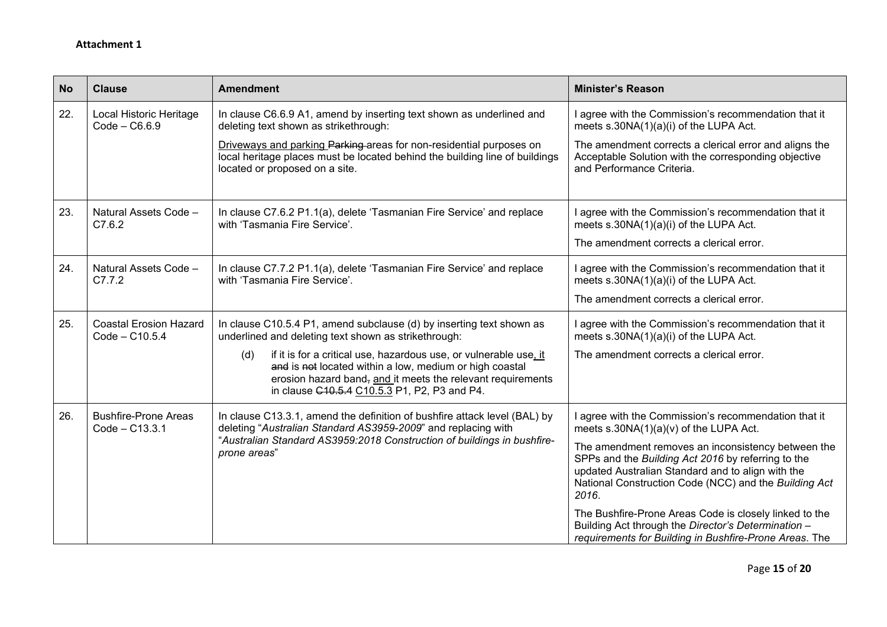| <b>No</b> | <b>Clause</b>                                     | <b>Amendment</b>                                                                                                                                                                                                                                                             | <b>Minister's Reason</b>                                                                                                                                                                                                        |
|-----------|---------------------------------------------------|------------------------------------------------------------------------------------------------------------------------------------------------------------------------------------------------------------------------------------------------------------------------------|---------------------------------------------------------------------------------------------------------------------------------------------------------------------------------------------------------------------------------|
| 22.       | Local Historic Heritage<br>$Code - C6.6.9$        | In clause C6.6.9 A1, amend by inserting text shown as underlined and<br>deleting text shown as strikethrough:                                                                                                                                                                | I agree with the Commission's recommendation that it<br>meets s.30NA(1)(a)(i) of the LUPA Act.                                                                                                                                  |
|           |                                                   | Driveways and parking Parking areas for non-residential purposes on<br>local heritage places must be located behind the building line of buildings<br>located or proposed on a site.                                                                                         | The amendment corrects a clerical error and aligns the<br>Acceptable Solution with the corresponding objective<br>and Performance Criteria.                                                                                     |
| 23.       | Natural Assets Code -<br>C7.6.2                   | In clause C7.6.2 P1.1(a), delete 'Tasmanian Fire Service' and replace<br>with 'Tasmania Fire Service'.                                                                                                                                                                       | I agree with the Commission's recommendation that it<br>meets s.30NA(1)(a)(i) of the LUPA Act.                                                                                                                                  |
|           |                                                   |                                                                                                                                                                                                                                                                              | The amendment corrects a clerical error.                                                                                                                                                                                        |
| 24.       | Natural Assets Code -<br>C7.7.2                   | In clause C7.7.2 P1.1(a), delete 'Tasmanian Fire Service' and replace<br>with 'Tasmania Fire Service'.                                                                                                                                                                       | I agree with the Commission's recommendation that it<br>meets s.30NA(1)(a)(i) of the LUPA Act.                                                                                                                                  |
|           |                                                   |                                                                                                                                                                                                                                                                              | The amendment corrects a clerical error.                                                                                                                                                                                        |
| 25.       | <b>Coastal Erosion Hazard</b><br>$Code - C10.5.4$ | In clause C10.5.4 P1, amend subclause (d) by inserting text shown as<br>underlined and deleting text shown as strikethrough:                                                                                                                                                 | I agree with the Commission's recommendation that it<br>meets s.30NA(1)(a)(i) of the LUPA Act.                                                                                                                                  |
|           |                                                   | if it is for a critical use, hazardous use, or vulnerable use, it<br>(d)<br>and is not located within a low, medium or high coastal<br>erosion hazard band, and it meets the relevant requirements<br>in clause C <sub>10</sub> .5.4 C <sub>10</sub> .5.3 P1, P2, P3 and P4. | The amendment corrects a clerical error.                                                                                                                                                                                        |
| 26.       | <b>Bushfire-Prone Areas</b><br>Code - C13.3.1     | In clause C13.3.1, amend the definition of bushfire attack level (BAL) by<br>deleting "Australian Standard AS3959-2009" and replacing with<br>"Australian Standard AS3959:2018 Construction of buildings in bushfire-<br>prone areas"                                        | I agree with the Commission's recommendation that it<br>meets s.30NA(1)(a)(v) of the LUPA Act.                                                                                                                                  |
|           |                                                   |                                                                                                                                                                                                                                                                              | The amendment removes an inconsistency between the<br>SPPs and the Building Act 2016 by referring to the<br>updated Australian Standard and to align with the<br>National Construction Code (NCC) and the Building Act<br>2016. |
|           |                                                   |                                                                                                                                                                                                                                                                              | The Bushfire-Prone Areas Code is closely linked to the<br>Building Act through the Director's Determination -<br>requirements for Building in Bushfire-Prone Areas. The                                                         |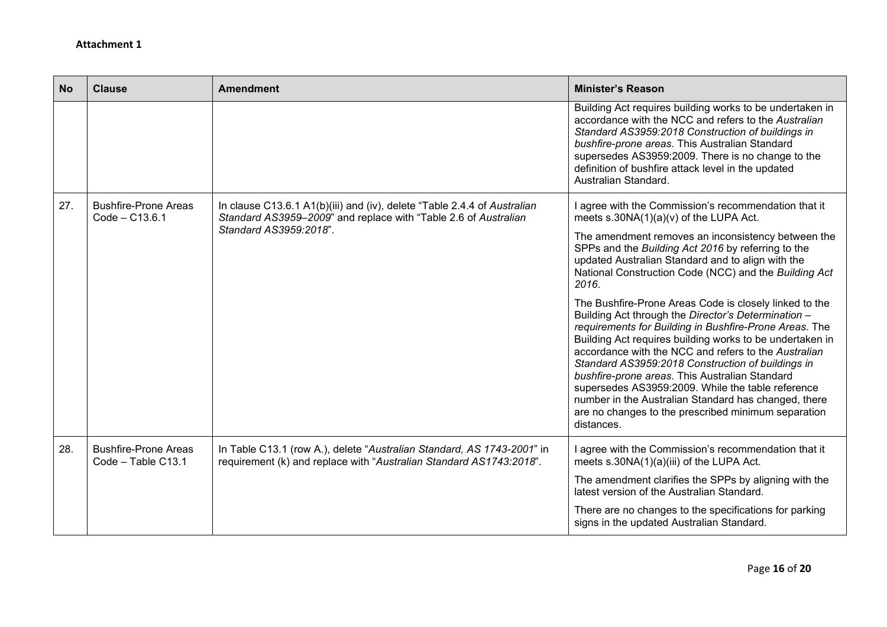| <b>No</b> | <b>Clause</b>                                     | <b>Amendment</b>                                                                                                                                                                                                                | <b>Minister's Reason</b>                                                                                                                                                                                                                                                                                                                                                                                                                                                                                                                                                             |
|-----------|---------------------------------------------------|---------------------------------------------------------------------------------------------------------------------------------------------------------------------------------------------------------------------------------|--------------------------------------------------------------------------------------------------------------------------------------------------------------------------------------------------------------------------------------------------------------------------------------------------------------------------------------------------------------------------------------------------------------------------------------------------------------------------------------------------------------------------------------------------------------------------------------|
|           |                                                   |                                                                                                                                                                                                                                 | Building Act requires building works to be undertaken in<br>accordance with the NCC and refers to the Australian<br>Standard AS3959:2018 Construction of buildings in<br>bushfire-prone areas. This Australian Standard<br>supersedes AS3959:2009. There is no change to the<br>definition of bushfire attack level in the updated<br>Australian Standard.                                                                                                                                                                                                                           |
| 27.       | <b>Bushfire-Prone Areas</b><br>$Code - C13.6.1$   | In clause C13.6.1 A1(b)(iii) and (iv), delete "Table 2.4.4 of Australian<br>Standard AS3959-2009" and replace with "Table 2.6 of Australian<br>Standard AS3959:2018".                                                           | I agree with the Commission's recommendation that it<br>meets $s.30NA(1)(a)(v)$ of the LUPA Act.                                                                                                                                                                                                                                                                                                                                                                                                                                                                                     |
|           |                                                   | The amendment removes an inconsistency between the<br>SPPs and the Building Act 2016 by referring to the<br>updated Australian Standard and to align with the<br>National Construction Code (NCC) and the Building Act<br>2016. |                                                                                                                                                                                                                                                                                                                                                                                                                                                                                                                                                                                      |
|           |                                                   |                                                                                                                                                                                                                                 | The Bushfire-Prone Areas Code is closely linked to the<br>Building Act through the Director's Determination -<br>requirements for Building in Bushfire-Prone Areas. The<br>Building Act requires building works to be undertaken in<br>accordance with the NCC and refers to the Australian<br>Standard AS3959:2018 Construction of buildings in<br>bushfire-prone areas. This Australian Standard<br>supersedes AS3959:2009. While the table reference<br>number in the Australian Standard has changed, there<br>are no changes to the prescribed minimum separation<br>distances. |
| 28.       | <b>Bushfire-Prone Areas</b><br>Code - Table C13.1 | In Table C13.1 (row A.), delete "Australian Standard, AS 1743-2001" in<br>requirement (k) and replace with "Australian Standard AS1743:2018".                                                                                   | I agree with the Commission's recommendation that it<br>meets s.30NA(1)(a)(iii) of the LUPA Act.                                                                                                                                                                                                                                                                                                                                                                                                                                                                                     |
|           |                                                   |                                                                                                                                                                                                                                 | The amendment clarifies the SPPs by aligning with the<br>latest version of the Australian Standard.                                                                                                                                                                                                                                                                                                                                                                                                                                                                                  |
|           |                                                   |                                                                                                                                                                                                                                 | There are no changes to the specifications for parking<br>signs in the updated Australian Standard.                                                                                                                                                                                                                                                                                                                                                                                                                                                                                  |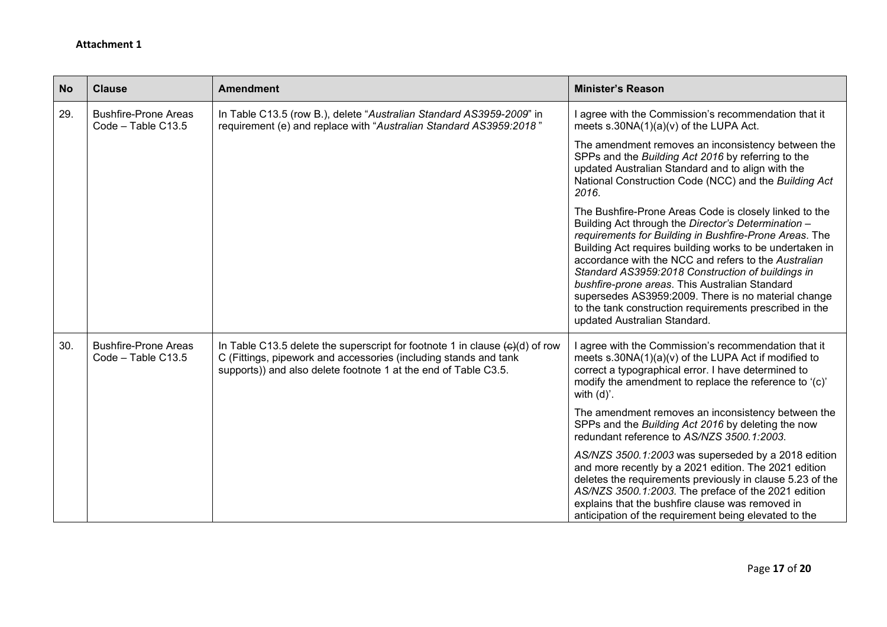| <b>No</b> | <b>Clause</b>                                     | <b>Amendment</b>                                                                                                                                                                                                                        | <b>Minister's Reason</b>                                                                                                                                                                                                                                                                                                                                                                                                                                                                                                                             |
|-----------|---------------------------------------------------|-----------------------------------------------------------------------------------------------------------------------------------------------------------------------------------------------------------------------------------------|------------------------------------------------------------------------------------------------------------------------------------------------------------------------------------------------------------------------------------------------------------------------------------------------------------------------------------------------------------------------------------------------------------------------------------------------------------------------------------------------------------------------------------------------------|
| 29.       | <b>Bushfire-Prone Areas</b><br>Code - Table C13.5 | In Table C13.5 (row B.), delete "Australian Standard AS3959-2009" in<br>requirement (e) and replace with "Australian Standard AS3959:2018"                                                                                              | I agree with the Commission's recommendation that it<br>meets $s.30NA(1)(a)(v)$ of the LUPA Act.                                                                                                                                                                                                                                                                                                                                                                                                                                                     |
|           |                                                   |                                                                                                                                                                                                                                         | The amendment removes an inconsistency between the<br>SPPs and the Building Act 2016 by referring to the<br>updated Australian Standard and to align with the<br>National Construction Code (NCC) and the Building Act<br>2016.                                                                                                                                                                                                                                                                                                                      |
|           |                                                   |                                                                                                                                                                                                                                         | The Bushfire-Prone Areas Code is closely linked to the<br>Building Act through the Director's Determination -<br>requirements for Building in Bushfire-Prone Areas. The<br>Building Act requires building works to be undertaken in<br>accordance with the NCC and refers to the Australian<br>Standard AS3959:2018 Construction of buildings in<br>bushfire-prone areas. This Australian Standard<br>supersedes AS3959:2009. There is no material change<br>to the tank construction requirements prescribed in the<br>updated Australian Standard. |
| 30.       | <b>Bushfire-Prone Areas</b><br>Code - Table C13.5 | In Table C13.5 delete the superscript for footnote 1 in clause $\left(\frac{1}{2}\right)$ of row<br>C (Fittings, pipework and accessories (including stands and tank<br>supports)) and also delete footnote 1 at the end of Table C3.5. | I agree with the Commission's recommendation that it<br>meets s.30NA(1)(a)(v) of the LUPA Act if modified to<br>correct a typographical error. I have determined to<br>modify the amendment to replace the reference to '(c)'<br>with $(d)$ '.                                                                                                                                                                                                                                                                                                       |
|           |                                                   |                                                                                                                                                                                                                                         | The amendment removes an inconsistency between the<br>SPPs and the Building Act 2016 by deleting the now<br>redundant reference to AS/NZS 3500.1:2003.                                                                                                                                                                                                                                                                                                                                                                                               |
|           |                                                   |                                                                                                                                                                                                                                         | AS/NZS 3500.1:2003 was superseded by a 2018 edition<br>and more recently by a 2021 edition. The 2021 edition<br>deletes the requirements previously in clause 5.23 of the<br>AS/NZS 3500.1:2003. The preface of the 2021 edition<br>explains that the bushfire clause was removed in<br>anticipation of the requirement being elevated to the                                                                                                                                                                                                        |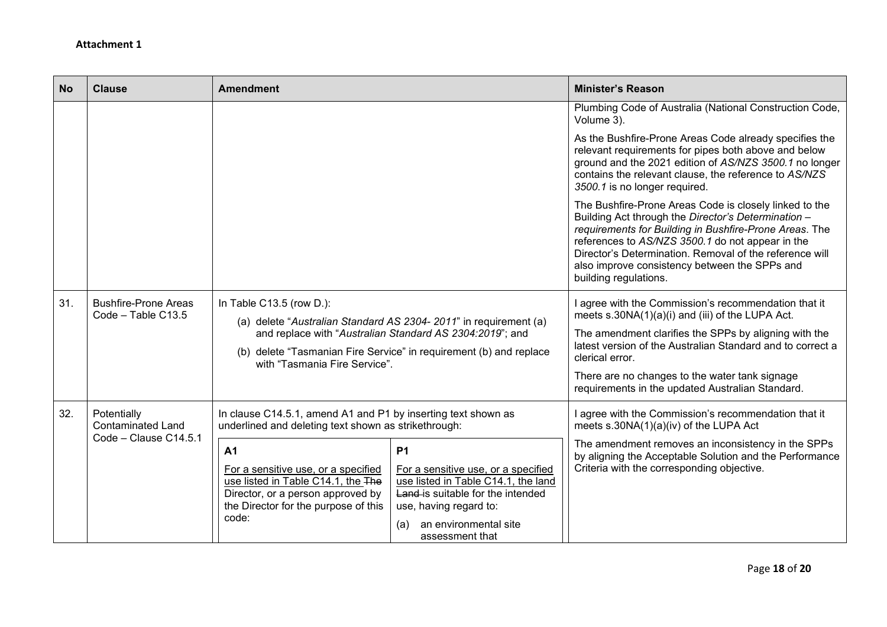| <b>No</b> | <b>Clause</b>                                                    | <b>Amendment</b>                                                                                                                                                                                                                                                |                                                                                                                                                                                                           | <b>Minister's Reason</b>                                                                                                                                                                                                                                                                                                                                         |
|-----------|------------------------------------------------------------------|-----------------------------------------------------------------------------------------------------------------------------------------------------------------------------------------------------------------------------------------------------------------|-----------------------------------------------------------------------------------------------------------------------------------------------------------------------------------------------------------|------------------------------------------------------------------------------------------------------------------------------------------------------------------------------------------------------------------------------------------------------------------------------------------------------------------------------------------------------------------|
|           |                                                                  |                                                                                                                                                                                                                                                                 |                                                                                                                                                                                                           | Plumbing Code of Australia (National Construction Code,<br>Volume 3).                                                                                                                                                                                                                                                                                            |
|           |                                                                  |                                                                                                                                                                                                                                                                 |                                                                                                                                                                                                           | As the Bushfire-Prone Areas Code already specifies the<br>relevant requirements for pipes both above and below<br>ground and the 2021 edition of AS/NZS 3500.1 no longer<br>contains the relevant clause, the reference to AS/NZS<br>3500.1 is no longer required.                                                                                               |
|           |                                                                  |                                                                                                                                                                                                                                                                 |                                                                                                                                                                                                           | The Bushfire-Prone Areas Code is closely linked to the<br>Building Act through the Director's Determination -<br>requirements for Building in Bushfire-Prone Areas. The<br>references to AS/NZS 3500.1 do not appear in the<br>Director's Determination. Removal of the reference will<br>also improve consistency between the SPPs and<br>building regulations. |
| 31.       | <b>Bushfire-Prone Areas</b><br>Code - Table C13.5                | In Table C13.5 (row D.):<br>(a) delete "Australian Standard AS 2304-2011" in requirement (a)<br>and replace with "Australian Standard AS 2304:2019"; and<br>(b) delete "Tasmanian Fire Service" in requirement (b) and replace<br>with "Tasmania Fire Service". |                                                                                                                                                                                                           | I agree with the Commission's recommendation that it<br>meets s.30NA(1)(a)(i) and (iii) of the LUPA Act.<br>The amendment clarifies the SPPs by aligning with the<br>latest version of the Australian Standard and to correct a<br>clerical error.<br>There are no changes to the water tank signage<br>requirements in the updated Australian Standard.         |
| 32.       | Potentially<br><b>Contaminated Land</b><br>Code - Clause C14.5.1 | In clause C14.5.1, amend A1 and P1 by inserting text shown as<br>underlined and deleting text shown as strikethrough:                                                                                                                                           |                                                                                                                                                                                                           | I agree with the Commission's recommendation that it<br>meets s.30NA(1)(a)(iv) of the LUPA Act                                                                                                                                                                                                                                                                   |
|           |                                                                  | A <sub>1</sub><br>For a sensitive use, or a specified<br>use listed in Table C14.1, the The<br>Director, or a person approved by<br>the Director for the purpose of this<br>code:                                                                               | <b>P1</b><br>For a sensitive use, or a specified<br>use listed in Table C14.1, the land<br>Land-is suitable for the intended<br>use, having regard to:<br>an environmental site<br>(a)<br>assessment that | The amendment removes an inconsistency in the SPPs<br>by aligning the Acceptable Solution and the Performance<br>Criteria with the corresponding objective.                                                                                                                                                                                                      |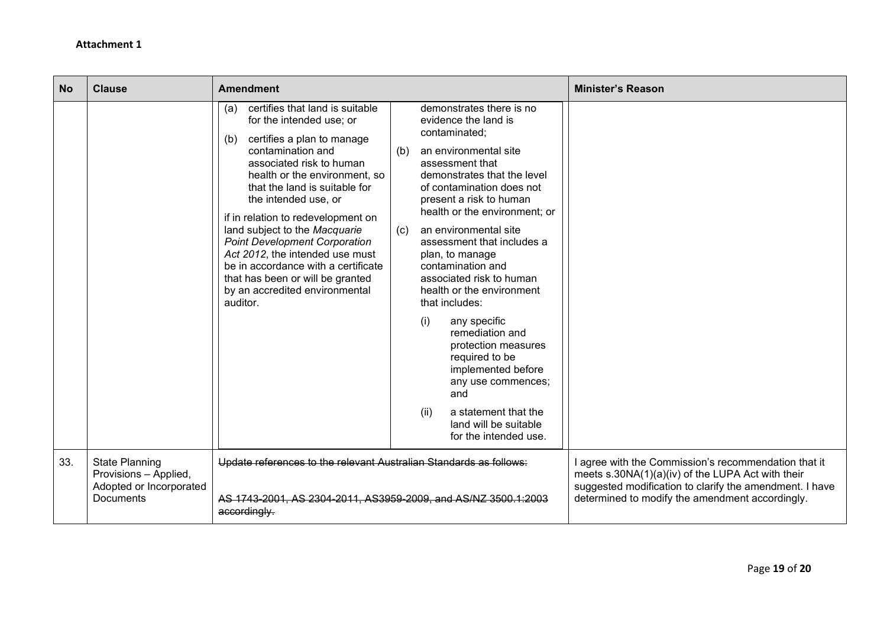| <b>No</b> | <b>Clause</b>                                                                                 | <b>Amendment</b>                                                                                                                                                                                                                                                                                                                                                                                                                                                                                                              |                                                                                                                                                                                                                                                                                                                                                                                                                                                                                                                                                                                                                                                       | <b>Minister's Reason</b>                                                                                                                                                                                                |
|-----------|-----------------------------------------------------------------------------------------------|-------------------------------------------------------------------------------------------------------------------------------------------------------------------------------------------------------------------------------------------------------------------------------------------------------------------------------------------------------------------------------------------------------------------------------------------------------------------------------------------------------------------------------|-------------------------------------------------------------------------------------------------------------------------------------------------------------------------------------------------------------------------------------------------------------------------------------------------------------------------------------------------------------------------------------------------------------------------------------------------------------------------------------------------------------------------------------------------------------------------------------------------------------------------------------------------------|-------------------------------------------------------------------------------------------------------------------------------------------------------------------------------------------------------------------------|
|           |                                                                                               | certifies that land is suitable<br>(a)<br>for the intended use; or<br>certifies a plan to manage<br>(b)<br>contamination and<br>associated risk to human<br>health or the environment, so<br>that the land is suitable for<br>the intended use, or<br>if in relation to redevelopment on<br>land subject to the Macquarie<br><b>Point Development Corporation</b><br>Act 2012, the intended use must<br>be in accordance with a certificate<br>that has been or will be granted<br>by an accredited environmental<br>auditor. | demonstrates there is no<br>evidence the land is<br>contaminated;<br>an environmental site<br>(b)<br>assessment that<br>demonstrates that the level<br>of contamination does not<br>present a risk to human<br>health or the environment; or<br>an environmental site<br>(c)<br>assessment that includes a<br>plan, to manage<br>contamination and<br>associated risk to human<br>health or the environment<br>that includes:<br>any specific<br>(i)<br>remediation and<br>protection measures<br>required to be<br>implemented before<br>any use commences;<br>and<br>a statement that the<br>(ii)<br>land will be suitable<br>for the intended use. |                                                                                                                                                                                                                         |
| 33.       | <b>State Planning</b><br>Provisions - Applied,<br>Adopted or Incorporated<br><b>Documents</b> | Update references to the relevant Australian Standards as follows:<br>AS 1743-2001, AS 2304-2011, AS3959-2009, and AS/NZ 3500.1:2003<br>accordingly.                                                                                                                                                                                                                                                                                                                                                                          |                                                                                                                                                                                                                                                                                                                                                                                                                                                                                                                                                                                                                                                       | I agree with the Commission's recommendation that it<br>meets s.30NA(1)(a)(iv) of the LUPA Act with their<br>suggested modification to clarify the amendment. I have<br>determined to modify the amendment accordingly. |